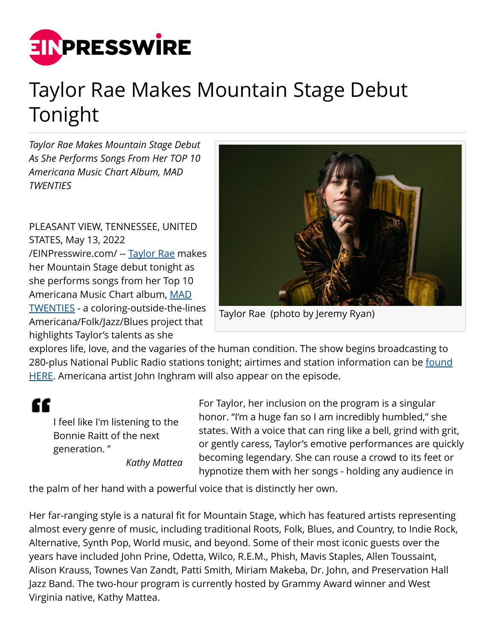

## Taylor Rae Makes Mountain Stage Debut Tonight

*Taylor Rae Makes Mountain Stage Debut As She Performs Songs From Her TOP 10 Americana Music Chart Album, MAD TWENTIES*

PLEASANT VIEW, TENNESSEE, UNITED STATES, May 13, 2022 [/EINPresswire.com/](http://www.einpresswire.com) -- [Taylor Rae](http://taylorraemusic.com/) makes her Mountain Stage debut tonight as she performs songs from her Top 10 Americana Music Chart album, [MAD](https://vydia.lnk.to/MadTwenties) [TWENTIES](https://vydia.lnk.to/MadTwenties) - a coloring-outside-the-lines Americana/Folk/Jazz/Blues project that highlights Taylor's talents as she



Taylor Rae (photo by Jeremy Ryan)

explores life, love, and the vagaries of the human condition. The show begins broadcasting to 280-plus National Public Radio stations tonight; airtimes and station information can be [found](https://www.mountainstage.org/radio/Pages/Radio-Affiliates.aspx) [HERE.](https://www.mountainstage.org/radio/Pages/Radio-Affiliates.aspx) Americana artist John Inghram will also appear on the episode.

"

I feel like I'm listening to the Bonnie Raitt of the next generation. "

*Kathy Mattea*

For Taylor, her inclusion on the program is a singular honor. "I'm a huge fan so I am incredibly humbled," she states. With a voice that can ring like a bell, grind with grit, or gently caress, Taylor's emotive performances are quickly becoming legendary. She can rouse a crowd to its feet or hypnotize them with her songs - holding any audience in

the palm of her hand with a powerful voice that is distinctly her own.

Her far-ranging style is a natural fit for Mountain Stage, which has featured artists representing almost every genre of music, including traditional Roots, Folk, Blues, and Country, to Indie Rock, Alternative, Synth Pop, World music, and beyond. Some of their most iconic guests over the years have included John Prine, Odetta, Wilco, R.E.M., Phish, Mavis Staples, Allen Toussaint, Alison Krauss, Townes Van Zandt, Patti Smith, Miriam Makeba, Dr. John, and Preservation Hall Jazz Band. The two-hour program is currently hosted by Grammy Award winner and West Virginia native, Kathy Mattea.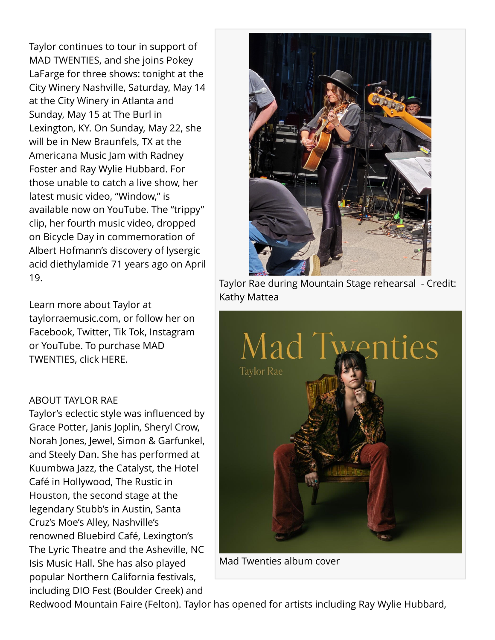Taylor continues to tour in support of MAD TWENTIES, and she joins Pokey LaFarge for three shows: tonight at the City Winery Nashville, Saturday, May 14 at the City Winery in Atlanta and Sunday, May 15 at The Burl in Lexington, KY. On Sunday, May 22, she will be in New Braunfels, TX at the Americana Music Jam with Radney Foster and Ray Wylie Hubbard. For those unable to catch a live show, her latest music video, "Window," is available now on YouTube. The "trippy" clip, her fourth music video, dropped on Bicycle Day in commemoration of Albert Hofmann's discovery of lysergic acid diethylamide 71 years ago on April 19.

Learn more about Taylor at taylorraemusic.com, or follow her on Facebook, Twitter, Tik Tok, Instagram or YouTube. To purchase MAD TWENTIES, click HERE.

## ABOUT TAYLOR RAE

Taylor's eclectic style was influenced by Grace Potter, Janis Joplin, Sheryl Crow, Norah Jones, Jewel, Simon & Garfunkel, and Steely Dan. She has performed at Kuumbwa Jazz, the Catalyst, the Hotel Café in Hollywood, The Rustic in Houston, the second stage at the legendary Stubb's in Austin, Santa Cruz's Moe's Alley, Nashville's renowned Bluebird Café, Lexington's The Lyric Theatre and the Asheville, NC Isis Music Hall. She has also played popular Northern California festivals, including DIO Fest (Boulder Creek) and



Taylor Rae during Mountain Stage rehearsal - Credit: Kathy Mattea



Mad Twenties album cover

Redwood Mountain Faire (Felton). Taylor has opened for artists including Ray Wylie Hubbard,